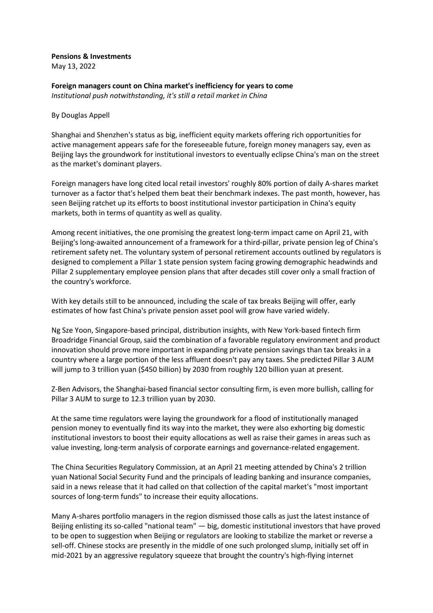## **Pensions & Investments**

May 13, 2022

**Foreign managers count on China market's inefficiency for years to come** *Institutional push notwithstanding, it's still a retail market in China*

## By Douglas Appell

Shanghai and Shenzhen's status as big, inefficient equity markets offering rich opportunities for active management appears safe for the foreseeable future, foreign money managers say, even as Beijing lays the groundwork for institutional investors to eventually eclipse China's man on the street as the market's dominant players.

Foreign managers have long cited local retail investors' roughly 80% portion of daily A-shares market turnover as a factor that's helped them beat their benchmark indexes. The past month, however, has seen Beijing ratchet up its efforts to boost institutional investor participation in China's equity markets, both in terms of quantity as well as quality.

Among recent initiatives, the one promising the greatest long-term impact came on April 21, with Beijing's long-awaited announcement of a framework for a third-pillar, private pension leg of China's retirement safety net. The voluntary system of personal retirement accounts outlined by regulators is designed to complement a Pillar 1 state pension system facing growing demographic headwinds and Pillar 2 supplementary employee pension plans that after decades still cover only a small fraction of the country's workforce.

With key details still to be announced, including the scale of tax breaks Beijing will offer, early estimates of how fast China's private pension asset pool will grow have varied widely.

Ng Sze Yoon, Singapore-based principal, distribution insights, with New York-based fintech firm Broadridge Financial Group, said the combination of a favorable regulatory environment and product innovation should prove more important in expanding private pension savings than tax breaks in a country where a large portion of the less affluent doesn't pay any taxes. She predicted Pillar 3 AUM will jump to 3 trillion yuan (\$450 billion) by 2030 from roughly 120 billion yuan at present.

Z-Ben Advisors, the Shanghai-based financial sector consulting firm, is even more bullish, calling for Pillar 3 AUM to surge to 12.3 trillion yuan by 2030.

At the same time regulators were laying the groundwork for a flood of institutionally managed pension money to eventually find its way into the market, they were also exhorting big domestic institutional investors to boost their equity allocations as well as raise their games in areas such as value investing, long-term analysis of corporate earnings and governance-related engagement.

The China Securities Regulatory Commission, at an April 21 meeting attended by China's 2 trillion yuan National Social Security Fund and the principals of leading banking and insurance companies, said in a news release that it had called on that collection of the capital market's "most important sources of long-term funds" to increase their equity allocations.

Many A-shares portfolio managers in the region dismissed those calls as just the latest instance of Beijing enlisting its so-called "national team" — big, domestic institutional investors that have proved to be open to suggestion when Beijing or regulators are looking to stabilize the market or reverse a sell-off. Chinese stocks are presently in the middle of one such prolonged slump, initially set off in mid-2021 by an aggressive regulatory squeeze that brought the country's high-flying internet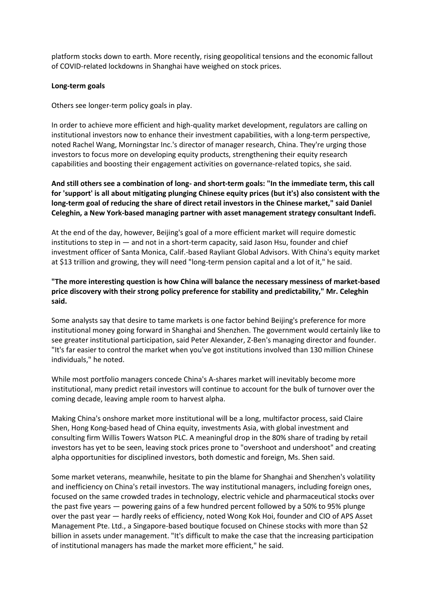platform stocks down to earth. More recently, rising geopolitical tensions and the economic fallout of COVID-related lockdowns in Shanghai have weighed on stock prices.

## **Long-term goals**

Others see longer-term policy goals in play.

In order to achieve more efficient and high-quality market development, regulators are calling on institutional investors now to enhance their investment capabilities, with a long-term perspective, noted Rachel Wang, Morningstar Inc.'s director of manager research, China. They're urging those investors to focus more on developing equity products, strengthening their equity research capabilities and boosting their engagement activities on governance-related topics, she said.

**And still others see a combination of long- and short-term goals: "In the immediate term, this call for 'support' is all about mitigating plunging Chinese equity prices (but it's) also consistent with the long-term goal of reducing the share of direct retail investors in the Chinese market," said Daniel Celeghin, a New York-based managing partner with asset management strategy consultant Indefi.**

At the end of the day, however, Beijing's goal of a more efficient market will require domestic institutions to step in — and not in a short-term capacity, said Jason Hsu, founder and chief investment officer of Santa Monica, Calif.-based Rayliant Global Advisors. With China's equity market at \$13 trillion and growing, they will need "long-term pension capital and a lot of it," he said.

**"The more interesting question is how China will balance the necessary messiness of market-based price discovery with their strong policy preference for stability and predictability," Mr. Celeghin said.**

Some analysts say that desire to tame markets is one factor behind Beijing's preference for more institutional money going forward in Shanghai and Shenzhen. The government would certainly like to see greater institutional participation, said Peter Alexander, Z-Ben's managing director and founder. "It's far easier to control the market when you've got institutions involved than 130 million Chinese individuals," he noted.

While most portfolio managers concede China's A-shares market will inevitably become more institutional, many predict retail investors will continue to account for the bulk of turnover over the coming decade, leaving ample room to harvest alpha.

Making China's onshore market more institutional will be a long, multifactor process, said Claire Shen, Hong Kong-based head of China equity, investments Asia, with global investment and consulting firm Willis Towers Watson PLC. A meaningful drop in the 80% share of trading by retail investors has yet to be seen, leaving stock prices prone to "overshoot and undershoot" and creating alpha opportunities for disciplined investors, both domestic and foreign, Ms. Shen said.

Some market veterans, meanwhile, hesitate to pin the blame for Shanghai and Shenzhen's volatility and inefficiency on China's retail investors. The way institutional managers, including foreign ones, focused on the same crowded trades in technology, electric vehicle and pharmaceutical stocks over the past five years — powering gains of a few hundred percent followed by a 50% to 95% plunge over the past year — hardly reeks of efficiency, noted Wong Kok Hoi, founder and CIO of APS Asset Management Pte. Ltd., a Singapore-based boutique focused on Chinese stocks with more than \$2 billion in assets under management. "It's difficult to make the case that the increasing participation of institutional managers has made the market more efficient," he said.